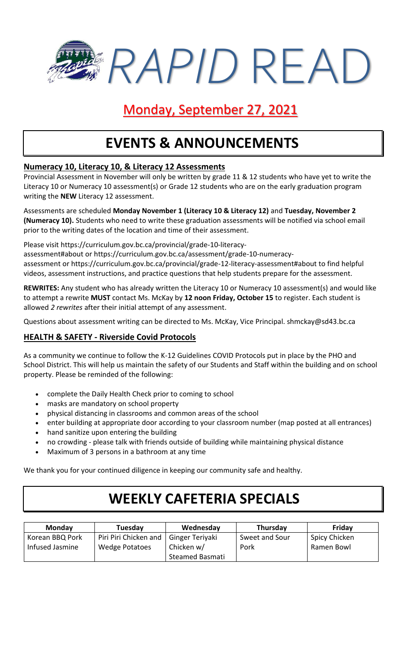*RAPID* READ

### Monday, September 27, 2021

## **EVENTS & ANNOUNCEMENTS**

### **Numeracy 10, Literacy 10, & Literacy 12 Assessments**

Provincial Assessment in November will only be written by grade 11 & 12 students who have yet to write the Literacy 10 or Numeracy 10 assessment(s) or Grade 12 students who are on the early graduation program writing the **NEW** Literacy 12 assessment.

Assessments are scheduled **Monday November 1 (Literacy 10 & Literacy 12)** and **Tuesday, November 2 (Numeracy 10).** Students who need to write these graduation assessments will be notified via school email prior to the writing dates of the location and time of their assessment.

Please visit https://curriculum.gov.bc.ca/provincial/grade-10-literacy-

assessment#about or https://curriculum.gov.bc.ca/assessment/grade-10-numeracyassessment or https://curriculum.gov.bc.ca/provincial/grade-12-literacy-assessment#about to find helpful videos, assessment instructions, and practice questions that help students prepare for the assessment.

**REWRITES:** Any student who has already written the Literacy 10 or Numeracy 10 assessment(s) and would like to attempt a rewrite **MUST** contact Ms. McKay by **12 noon Friday, October 15** to register. Each student is allowed *2 rewrites* after their initial attempt of any assessment.

Questions about assessment writing can be directed to Ms. McKay, Vice Principal. shmckay@sd43.bc.ca

### **HEALTH & SAFETY - Riverside Covid Protocols**

As a community we continue to follow the K-12 Guidelines COVID Protocols put in place by the PHO and School District. This will help us maintain the safety of our Students and Staff within the building and on school property. Please be reminded of the following:

- complete the Daily Health Check prior to coming to school
- masks are mandatory on school property
- physical distancing in classrooms and common areas of the school
- enter building at appropriate door according to your classroom number (map posted at all entrances)
- hand sanitize upon entering the building
- no crowding please talk with friends outside of building while maintaining physical distance
- Maximum of 3 persons in a bathroom at any time

We thank you for your continued diligence in keeping our community safe and healthy.

# **WEEKLY CAFETERIA SPECIALS**

| <b>Monday</b>                      | Tuesday                                 | Wednesday                     | Thursday               | Friday                      |
|------------------------------------|-----------------------------------------|-------------------------------|------------------------|-----------------------------|
| Korean BBQ Pork<br>Infused Jasmine | Piri Piri Chicken and<br>Wedge Potatoes | Ginger Teriyaki<br>Chicken w/ | Sweet and Sour<br>Pork | Spicy Chicken<br>Ramen Bowl |
|                                    |                                         | Steamed Basmati               |                        |                             |